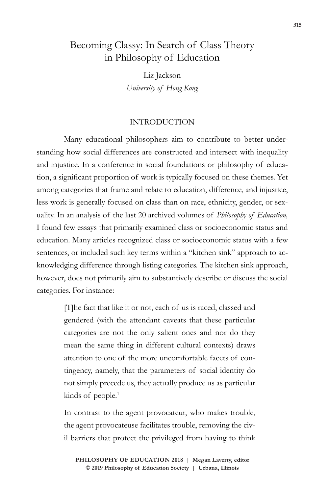# Becoming Classy: In Search of Class Theory in Philosophy of Education

Liz Jackson *University of Hong Kong*

## INTRODUCTION

Many educational philosophers aim to contribute to better understanding how social differences are constructed and intersect with inequality and injustice. In a conference in social foundations or philosophy of education, a significant proportion of work is typically focused on these themes. Yet among categories that frame and relate to education, difference, and injustice, less work is generally focused on class than on race, ethnicity, gender, or sexuality. In an analysis of the last 20 archived volumes of *Philosophy of Education,*  I found few essays that primarily examined class or socioeconomic status and education. Many articles recognized class or socioeconomic status with a few sentences, or included such key terms within a "kitchen sink" approach to acknowledging difference through listing categories. The kitchen sink approach, however, does not primarily aim to substantively describe or discuss the social categories. For instance:

> [T]he fact that like it or not, each of us is raced, classed and gendered (with the attendant caveats that these particular categories are not the only salient ones and nor do they mean the same thing in different cultural contexts) draws attention to one of the more uncomfortable facets of contingency, namely, that the parameters of social identity do not simply precede us, they actually produce us as particular kinds of people.<sup>1</sup>

> In contrast to the agent provocateur, who makes trouble, the agent provocateuse facilitates trouble, removing the civil barriers that protect the privileged from having to think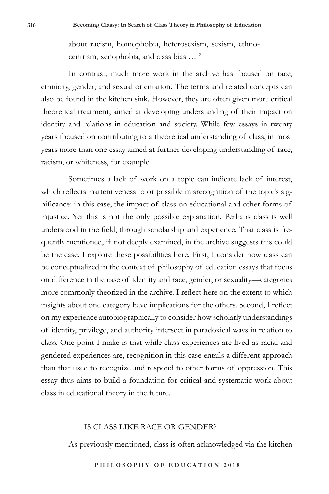about racism, homophobia, heterosexism, sexism, ethnocentrism, xenophobia, and class bias … 2

In contrast, much more work in the archive has focused on race, ethnicity, gender, and sexual orientation. The terms and related concepts can also be found in the kitchen sink. However, they are often given more critical theoretical treatment, aimed at developing understanding of their impact on identity and relations in education and society. While few essays in twenty years focused on contributing to a theoretical understanding of class, in most years more than one essay aimed at further developing understanding of race, racism, or whiteness, for example.

Sometimes a lack of work on a topic can indicate lack of interest, which reflects inattentiveness to or possible misrecognition of the topic's significance: in this case, the impact of class on educational and other forms of injustice. Yet this is not the only possible explanation. Perhaps class is well understood in the field, through scholarship and experience. That class is frequently mentioned, if not deeply examined, in the archive suggests this could be the case. I explore these possibilities here. First, I consider how class can be conceptualized in the context of philosophy of education essays that focus on difference in the case of identity and race, gender, or sexuality—categories more commonly theorized in the archive. I reflect here on the extent to which insights about one category have implications for the others. Second, I reflect on my experience autobiographically to consider how scholarly understandings of identity, privilege, and authority intersect in paradoxical ways in relation to class. One point I make is that while class experiences are lived as racial and gendered experiences are, recognition in this case entails a different approach than that used to recognize and respond to other forms of oppression. This essay thus aims to build a foundation for critical and systematic work about class in educational theory in the future.

#### IS CLASS LIKE RACE OR GENDER?

As previously mentioned, class is often acknowledged via the kitchen

**P H I L O S O P H Y O F E D U C A T I O N 2 0 1 8**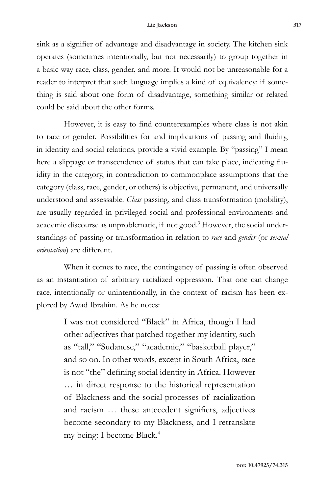sink as a signifier of advantage and disadvantage in society. The kitchen sink operates (sometimes intentionally, but not necessarily) to group together in a basic way race, class, gender, and more. It would not be unreasonable for a reader to interpret that such language implies a kind of equivalency: if something is said about one form of disadvantage, something similar or related could be said about the other forms.

However, it is easy to find counterexamples where class is not akin to race or gender. Possibilities for and implications of passing and fluidity, in identity and social relations, provide a vivid example. By "passing" I mean here a slippage or transcendence of status that can take place, indicating fluidity in the category, in contradiction to commonplace assumptions that the category (class, race, gender, or others) is objective, permanent, and universally understood and assessable. *Class* passing, and class transformation (mobility), are usually regarded in privileged social and professional environments and academic discourse as unproblematic, if not good.<sup>3</sup> However, the social understandings of passing or transformation in relation to *race* and *gender* (or *sexual orientation*) are different.

When it comes to race, the contingency of passing is often observed as an instantiation of arbitrary racialized oppression. That one can change race, intentionally or unintentionally, in the context of racism has been explored by Awad Ibrahim. As he notes:

> I was not considered "Black" in Africa, though I had other adjectives that patched together my identity, such as "tall," "Sudanese," "academic," "basketball player," and so on. In other words, except in South Africa, race is not "the" defining social identity in Africa. However … in direct response to the historical representation of Blackness and the social processes of racialization and racism … these antecedent signifiers, adjectives become secondary to my Blackness, and I retranslate my being: I become Black.4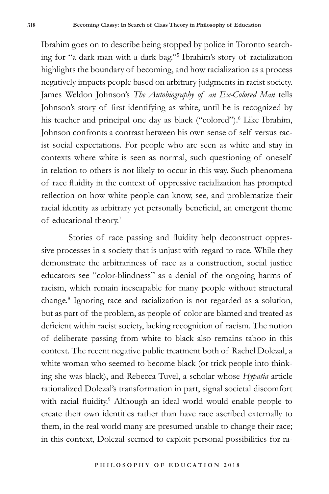Ibrahim goes on to describe being stopped by police in Toronto searching for "a dark man with a dark bag."5 Ibrahim's story of racialization highlights the boundary of becoming, and how racialization as a process negatively impacts people based on arbitrary judgments in racist society. James Weldon Johnson's *The Autobiography of an Ex-Colored Man* tells Johnson's story of first identifying as white, until he is recognized by his teacher and principal one day as black ("colored").<sup>6</sup> Like Ibrahim, Johnson confronts a contrast between his own sense of self versus racist social expectations. For people who are seen as white and stay in contexts where white is seen as normal, such questioning of oneself in relation to others is not likely to occur in this way. Such phenomena of race fluidity in the context of oppressive racialization has prompted reflection on how white people can know, see, and problematize their racial identity as arbitrary yet personally beneficial, an emergent theme of educational theory.7

Stories of race passing and fluidity help deconstruct oppressive processes in a society that is unjust with regard to race. While they demonstrate the arbitrariness of race as a construction, social justice educators see "color-blindness" as a denial of the ongoing harms of racism, which remain inescapable for many people without structural change.8 Ignoring race and racialization is not regarded as a solution, but as part of the problem, as people of color are blamed and treated as deficient within racist society, lacking recognition of racism. The notion of deliberate passing from white to black also remains taboo in this context. The recent negative public treatment both of Rachel Dolezal, a white woman who seemed to become black (or trick people into thinking she was black), and Rebecca Tuvel, a scholar whose *Hypatia* article rationalized Dolezal's transformation in part, signal societal discomfort with racial fluidity.<sup>9</sup> Although an ideal world would enable people to create their own identities rather than have race ascribed externally to them, in the real world many are presumed unable to change their race; in this context, Dolezal seemed to exploit personal possibilities for ra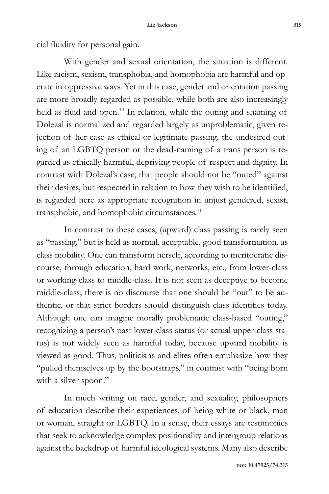cial fluidity for personal gain.

With gender and sexual orientation, the situation is different. Like racism, sexism, transphobia, and homophobia are harmful and operate in oppressive ways. Yet in this case, gender and orientation passing are more broadly regarded as possible, while both are also increasingly held as fluid and open.<sup>10</sup> In relation, while the outing and shaming of Dolezal is normalized and regarded largely as unproblematic, given rejection of her case as ethical or legitimate passing, the undesired outing of an LGBTQ person or the dead-naming of a trans person is regarded as ethically harmful, depriving people of respect and dignity. In contrast with Dolezal's case, that people should not be "outed" against their desires, but respected in relation to how they wish to be identified, is regarded here as appropriate recognition in unjust gendered, sexist, transphobic, and homophobic circumstances.<sup>11</sup>

In contrast to these cases, (upward) class passing is rarely seen as "passing," but is held as normal, acceptable, good transformation, as class mobility. One can transform herself, according to meritocratic discourse, through education, hard work, networks, etc., from lower-class or working-class to middle-class. It is not seen as deceptive to become middle-class; there is no discourse that one should be "out" to be authentic, or that strict borders should distinguish class identities today. Although one can imagine morally problematic class-based "outing," recognizing a person's past lower-class status (or actual upper-class status) is not widely seen as harmful today, because upward mobility is viewed as good. Thus, politicians and elites often emphasize how they "pulled themselves up by the bootstraps," in contrast with "being born with a silver spoon."

In much writing on race, gender, and sexuality, philosophers of education describe their experiences, of being white or black, man or woman, straight or LGBTQ. In a sense, their essays are testimonies that seek to acknowledge complex positionality and intergroup relations against the backdrop of harmful ideological systems. Many also describe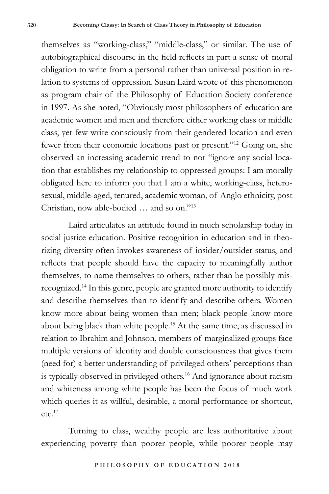themselves as "working-class," "middle-class," or similar. The use of autobiographical discourse in the field reflects in part a sense of moral obligation to write from a personal rather than universal position in relation to systems of oppression. Susan Laird wrote of this phenomenon as program chair of the Philosophy of Education Society conference in 1997. As she noted, "Obviously most philosophers of education are academic women and men and therefore either working class or middle class, yet few write consciously from their gendered location and even fewer from their economic locations past or present."12 Going on, she observed an increasing academic trend to not "ignore any social location that establishes my relationship to oppressed groups: I am morally obligated here to inform you that I am a white, working-class, heterosexual, middle-aged, tenured, academic woman, of Anglo ethnicity, post Christian, now able-bodied … and so on."13

Laird articulates an attitude found in much scholarship today in social justice education. Positive recognition in education and in theorizing diversity often invokes awareness of insider/outsider status, and reflects that people should have the capacity to meaningfully author themselves, to name themselves to others, rather than be possibly misrecognized.14 In this genre, people are granted more authority to identify and describe themselves than to identify and describe others. Women know more about being women than men; black people know more about being black than white people.15 At the same time, as discussed in relation to Ibrahim and Johnson, members of marginalized groups face multiple versions of identity and double consciousness that gives them (need for) a better understanding of privileged others' perceptions than is typically observed in privileged others.<sup>16</sup> And ignorance about racism and whiteness among white people has been the focus of much work which queries it as willful, desirable, a moral performance or shortcut, etc.17

Turning to class, wealthy people are less authoritative about experiencing poverty than poorer people, while poorer people may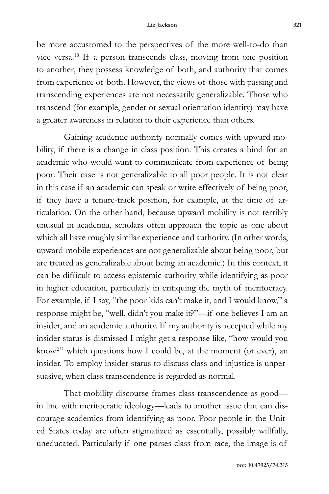be more accustomed to the perspectives of the more well-to-do than vice versa.18 If a person transcends class, moving from one position to another, they possess knowledge of both, and authority that comes from experience of both. However, the views of those with passing and transcending experiences are not necessarily generalizable. Those who transcend (for example, gender or sexual orientation identity) may have a greater awareness in relation to their experience than others.

Gaining academic authority normally comes with upward mobility, if there is a change in class position. This creates a bind for an academic who would want to communicate from experience of being poor. Their case is not generalizable to all poor people. It is not clear in this case if an academic can speak or write effectively of being poor, if they have a tenure-track position, for example, at the time of articulation. On the other hand, because upward mobility is not terribly unusual in academia, scholars often approach the topic as one about which all have roughly similar experience and authority. (In other words, upward-mobile experiences are not generalizable about being poor, but are treated as generalizable about being an academic.) In this context, it can be difficult to access epistemic authority while identifying as poor in higher education, particularly in critiquing the myth of meritocracy. For example, if I say, "the poor kids can't make it, and I would know," a response might be, "well, didn't you make it?"—if one believes I am an insider, and an academic authority. If my authority is accepted while my insider status is dismissed I might get a response like, "how would you know?" which questions how I could be, at the moment (or ever), an insider. To employ insider status to discuss class and injustice is unpersuasive, when class transcendence is regarded as normal.

That mobility discourse frames class transcendence as good in line with meritocratic ideology—leads to another issue that can discourage academics from identifying as poor. Poor people in the United States today are often stigmatized as essentially, possibly willfully, uneducated. Particularly if one parses class from race, the image is of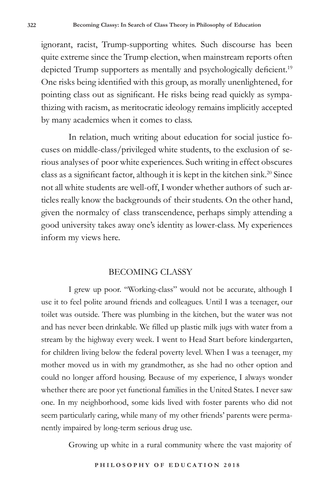ignorant, racist, Trump-supporting whites. Such discourse has been quite extreme since the Trump election, when mainstream reports often depicted Trump supporters as mentally and psychologically deficient.<sup>19</sup> One risks being identified with this group, as morally unenlightened, for pointing class out as significant. He risks being read quickly as sympathizing with racism, as meritocratic ideology remains implicitly accepted by many academics when it comes to class.

In relation, much writing about education for social justice focuses on middle-class/privileged white students, to the exclusion of serious analyses of poor white experiences. Such writing in effect obscures class as a significant factor, although it is kept in the kitchen sink.<sup>20</sup> Since not all white students are well-off, I wonder whether authors of such articles really know the backgrounds of their students. On the other hand, given the normalcy of class transcendence, perhaps simply attending a good university takes away one's identity as lower-class. My experiences inform my views here.

## BECOMING CLASSY

I grew up poor. "Working-class" would not be accurate, although I use it to feel polite around friends and colleagues. Until I was a teenager, our toilet was outside. There was plumbing in the kitchen, but the water was not and has never been drinkable. We filled up plastic milk jugs with water from a stream by the highway every week. I went to Head Start before kindergarten, for children living below the federal poverty level. When I was a teenager, my mother moved us in with my grandmother, as she had no other option and could no longer afford housing. Because of my experience, I always wonder whether there are poor yet functional families in the United States. I never saw one. In my neighborhood, some kids lived with foster parents who did not seem particularly caring, while many of my other friends' parents were permanently impaired by long-term serious drug use.

Growing up white in a rural community where the vast majority of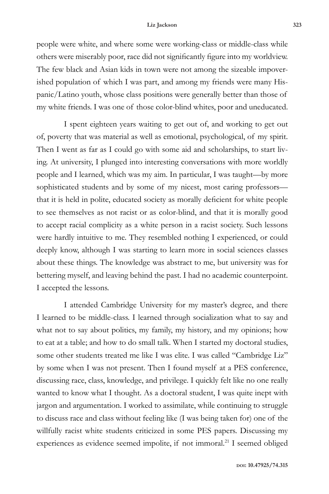#### **Liz Jackson 323**

people were white, and where some were working-class or middle-class while others were miserably poor, race did not significantly figure into my worldview. The few black and Asian kids in town were not among the sizeable impoverished population of which I was part, and among my friends were many Hispanic/Latino youth, whose class positions were generally better than those of my white friends. I was one of those color-blind whites, poor and uneducated.

I spent eighteen years waiting to get out of, and working to get out of, poverty that was material as well as emotional, psychological, of my spirit. Then I went as far as I could go with some aid and scholarships, to start living. At university, I plunged into interesting conversations with more worldly people and I learned, which was my aim. In particular, I was taught—by more sophisticated students and by some of my nicest, most caring professors that it is held in polite, educated society as morally deficient for white people to see themselves as not racist or as color-blind, and that it is morally good to accept racial complicity as a white person in a racist society. Such lessons were hardly intuitive to me. They resembled nothing I experienced, or could deeply know, although I was starting to learn more in social sciences classes about these things. The knowledge was abstract to me, but university was for bettering myself, and leaving behind the past. I had no academic counterpoint. I accepted the lessons.

I attended Cambridge University for my master's degree, and there I learned to be middle-class. I learned through socialization what to say and what not to say about politics, my family, my history, and my opinions; how to eat at a table; and how to do small talk. When I started my doctoral studies, some other students treated me like I was elite. I was called "Cambridge Liz" by some when I was not present. Then I found myself at a PES conference, discussing race, class, knowledge, and privilege. I quickly felt like no one really wanted to know what I thought. As a doctoral student, I was quite inept with jargon and argumentation. I worked to assimilate, while continuing to struggle to discuss race and class without feeling like (I was being taken for) one of the willfully racist white students criticized in some PES papers. Discussing my experiences as evidence seemed impolite, if not immoral.<sup>21</sup> I seemed obliged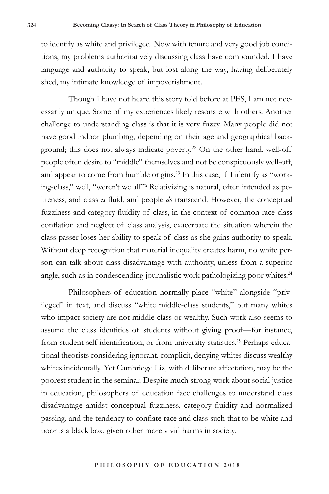to identify as white and privileged. Now with tenure and very good job conditions, my problems authoritatively discussing class have compounded. I have language and authority to speak, but lost along the way, having deliberately shed, my intimate knowledge of impoverishment.

Though I have not heard this story told before at PES, I am not necessarily unique. Some of my experiences likely resonate with others. Another challenge to understanding class is that it is very fuzzy. Many people did not have good indoor plumbing, depending on their age and geographical background; this does not always indicate poverty.<sup>22</sup> On the other hand, well-off people often desire to "middle" themselves and not be conspicuously well-off, and appear to come from humble origins.<sup>23</sup> In this case, if I identify as "working-class," well, "weren't we all"? Relativizing is natural, often intended as politeness, and class *is* fluid, and people *do* transcend. However, the conceptual fuzziness and category fluidity of class, in the context of common race-class conflation and neglect of class analysis, exacerbate the situation wherein the class passer loses her ability to speak of class as she gains authority to speak. Without deep recognition that material inequality creates harm, no white person can talk about class disadvantage with authority, unless from a superior angle, such as in condescending journalistic work pathologizing poor whites.<sup>24</sup>

Philosophers of education normally place "white" alongside "privileged" in text, and discuss "white middle-class students," but many whites who impact society are not middle-class or wealthy. Such work also seems to assume the class identities of students without giving proof—for instance, from student self-identification, or from university statistics.<sup>25</sup> Perhaps educational theorists considering ignorant, complicit, denying whites discuss wealthy whites incidentally. Yet Cambridge Liz, with deliberate affectation, may be the poorest student in the seminar. Despite much strong work about social justice in education, philosophers of education face challenges to understand class disadvantage amidst conceptual fuzziness, category fluidity and normalized passing, and the tendency to conflate race and class such that to be white and poor is a black box, given other more vivid harms in society.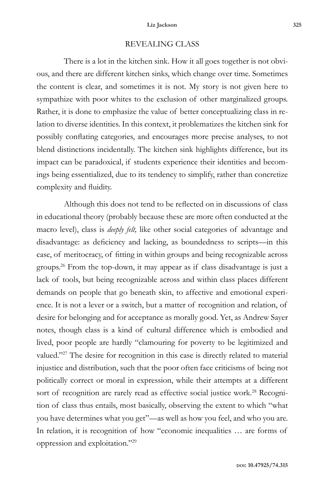### REVEALING CLASS

There is a lot in the kitchen sink. How it all goes together is not obvious, and there are different kitchen sinks, which change over time. Sometimes the content is clear, and sometimes it is not. My story is not given here to sympathize with poor whites to the exclusion of other marginalized groups. Rather, it is done to emphasize the value of better conceptualizing class in relation to diverse identities. In this context, it problematizes the kitchen sink for possibly conflating categories, and encourages more precise analyses, to not blend distinctions incidentally. The kitchen sink highlights difference, but its impact can be paradoxical, if students experience their identities and becomings being essentialized, due to its tendency to simplify, rather than concretize complexity and fluidity.

Although this does not tend to be reflected on in discussions of class in educational theory (probably because these are more often conducted at the macro level), class is *deeply felt,* like other social categories of advantage and disadvantage: as deficiency and lacking, as boundedness to scripts—in this case, of meritocracy, of fitting in within groups and being recognizable across groups.26 From the top-down, it may appear as if class disadvantage is just a lack of tools, but being recognizable across and within class places different demands on people that go beneath skin, to affective and emotional experience. It is not a lever or a switch, but a matter of recognition and relation, of desire for belonging and for acceptance as morally good. Yet, as Andrew Sayer notes, though class is a kind of cultural difference which is embodied and lived, poor people are hardly "clamouring for poverty to be legitimized and valued."<sup>27</sup> The desire for recognition in this case is directly related to material injustice and distribution, such that the poor often face criticisms of being not politically correct or moral in expression, while their attempts at a different sort of recognition are rarely read as effective social justice work.<sup>28</sup> Recognition of class thus entails, most basically, observing the extent to which "what you have determines what you get"—as well as how you feel, and who you are. In relation, it is recognition of how "economic inequalities … are forms of oppression and exploitation."29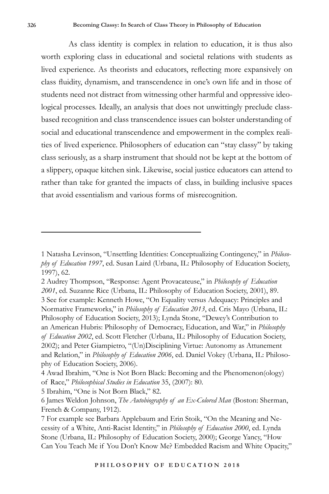As class identity is complex in relation to education, it is thus also worth exploring class in educational and societal relations with students as lived experience. As theorists and educators, reflecting more expansively on class fluidity, dynamism, and transcendence in one's own life and in those of students need not distract from witnessing other harmful and oppressive ideological processes. Ideally, an analysis that does not unwittingly preclude classbased recognition and class transcendence issues can bolster understanding of social and educational transcendence and empowerment in the complex realities of lived experience. Philosophers of education can "stay classy" by taking class seriously, as a sharp instrument that should not be kept at the bottom of a slippery, opaque kitchen sink. Likewise, social justice educators can attend to rather than take for granted the impacts of class, in building inclusive spaces that avoid essentialism and various forms of misrecognition.

<sup>1</sup> Natasha Levinson, "Unsettling Identities: Conceptualizing Contingency," in *Philosophy of Education 1997*, ed. Susan Laird (Urbana, IL: Philosophy of Education Society, 1997), 62.

<sup>2</sup> Audrey Thompson, "Response: Agent Provacateuse," in *Philosophy of Education 2001*, ed. Suzanne Rice (Urbana, IL: Philosophy of Education Society, 2001), 89. 3 See for example: Kenneth Howe, "On Equality versus Adequacy: Principles and Normative Frameworks," in *Philosophy of Education 2013*, ed. Cris Mayo (Urbana, IL: Philosophy of Education Society, 2013); Lynda Stone, "Dewey's Contribution to an American Hubris: Philosophy of Democracy, Education, and War," in *Philosophy of Education 2002*, ed. Scott Fletcher (Urbana, IL: Philosophy of Education Society, 2002); and Peter Giampietro, "(Un)Disciplining Virtue: Autonomy as Attunement and Relation," in *Philosophy of Education 2006*, ed. Daniel Vokey (Urbana, IL: Philosophy of Education Society, 2006).

<sup>4</sup> Awad Ibrahim, "One is Not Born Black: Becoming and the Phenomenon(ology) of Race," *Philosophical Studies in Education* 35, (2007): 80.

<sup>5</sup> Ibrahim, "One is Not Born Black," 82.

<sup>6</sup> James Weldon Johnson, *The Autobiography of an Ex-Colored Man* (Boston: Sherman, French & Company, 1912).

<sup>7</sup> For example see Barbara Applebaum and Erin Stoik, "On the Meaning and Necessity of a White, Anti-Racist Identity," in *Philosophy of Education 2000*, ed. Lynda Stone (Urbana, IL: Philosophy of Education Society, 2000); George Yancy, "How Can You Teach Me if You Don't Know Me? Embedded Racism and White Opacity,"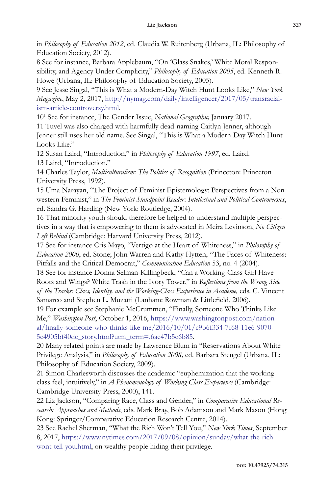in *Philosophy of Education 2012*, ed. Claudia W. Ruitenberg (Urbana, IL: Philosophy of Education Society, 2012).

8 See for instance, Barbara Applebaum, "On 'Glass Snakes,' White Moral Responsibility, and Agency Under Complicity," *Philosophy of Education 2005*, ed. Kenneth R. Howe (Urbana, IL: Philosophy of Education Society, 2005).

9 See Jesse Singal, "This is What a Modern-Day Witch Hunt Looks Like," *New York Magazine*, May 2, 2017, http://nymag.com/daily/intelligencer/2017/05/transracialism-article-controversy.html.

101 See for instance, The Gender Issue, *National Geographic,* January 2017.

11 Tuvel was also charged with harmfully dead-naming Caitlyn Jenner, although Jenner still uses her old name. See Singal, "This is What a Modern-Day Witch Hunt Looks Like."

12 Susan Laird, "Introduction," in *Philosophy of Education 1997*, ed. Laird.

13 Laird, "Introduction."

14 Charles Taylor, *Multiculturalism: The Politics of Recognition* (Princeton: Princeton University Press, 1992).

15 Uma Narayan, "The Project of Feminist Epistemology: Perspectives from a Nonwestern Feminist," in *The Feminist Standpoint Reader: Intellectual and Political Controversies*, ed. Sandra G. Harding (New York: Routledge, 2004).

16 That minority youth should therefore be helped to understand multiple perspectives in a way that is empowering to them is advocated in Meira Levinson, *No Citizen Left Behind* (Cambridge: Harvard University Press, 2012).

17 See for instance Cris Mayo, "Vertigo at the Heart of Whiteness," in *Philosophy of Education 2000*, ed. Stone; John Warren and Kathy Hytten, "The Faces of Whiteness: Pitfalls and the Critical Democrat," *Communication Education* 53, no. 4 (2004).

18 See for instance Donna Selman-Killingbeck, "Can a Working-Class Girl Have Roots and Wings? White Trash in the Ivory Tower," in *Reflections from the Wrong Side*  of the Tracks: Class, Identity, and the Working-Class Experience in Academe, eds. C. Vincent Samarco and Stephen L. Muzatti (Lanham: Rowman & Littlefield, 2006).

19 For example see Stephanie McCrummen, "Finally, Someone Who Thinks Like Me," *Washington Post*, October 1, 2016, https://www.washingtonpost.com/national/finally-someone-who-thinks-like-me/2016/10/01/c9b6f334-7f68-11e6-9070- 5c4905bf40dc\_story.html?utm\_term=.6ae47b5c6b85.

20 Many related points are made by Lawrence Blum in "Reservations About White Privilege Analysis," in *Philosophy of Education 2008,* ed. Barbara Stengel (Urbana, IL: Philosophy of Education Society, 2009).

21 Simon Charlesworth discusses the academic "euphemization that the working class feel, intuitively," in *A Phenomenology of Working-Class Experience* (Cambridge: Cambridge University Press, 2000), 141.

22 Liz Jackson, "Comparing Race, Class and Gender," in *Comparative Educational Research: Approaches and Methods*, eds. Mark Bray, Bob Adamson and Mark Mason (Hong Kong: Springer/Comparative Education Research Centre, 2014).

23 See Rachel Sherman, "What the Rich Won't Tell You," *New York Times*, September 8, 2017, https://www.nytimes.com/2017/09/08/opinion/sunday/what-the-richwont-tell-you.html, on wealthy people hiding their privilege.